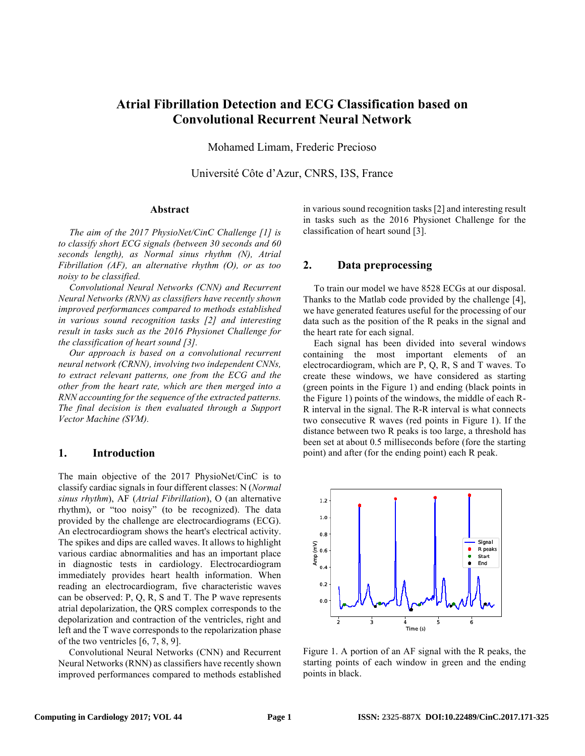# **Atrial Fibrillation Detection and ECG Classification based on Convolutional Recurrent Neural Network**

Mohamed Limam, Frederic Precioso

Université Côte d'Azur, CNRS, I3S, France

#### **Abstract**

*The aim of the 2017 PhysioNet/CinC Challenge [1] is to classify short ECG signals (between 30 seconds and 60 seconds length), as Normal sinus rhythm (N), Atrial Fibrillation (AF), an alternative rhythm (O), or as too noisy to be classified.*

*Convolutional Neural Networks (CNN) and Recurrent Neural Networks (RNN) as classifiers have recently shown improved performances compared to methods established in various sound recognition tasks [2] and interesting result in tasks such as the 2016 Physionet Challenge for the classification of heart sound [3].*

*Our approach is based on a convolutional recurrent neural network (CRNN), involving two independent CNNs, to extract relevant patterns, one from the ECG and the other from the heart rate, which are then merged into a RNN accounting for the sequence of the extracted patterns. The final decision is then evaluated through a Support Vector Machine (SVM).* 

#### **1. Introduction**

The main objective of the 2017 PhysioNet/CinC is to classify cardiac signals in four different classes: N (*Normal sinus rhythm*), AF (*Atrial Fibrillation*), O (an alternative rhythm), or "too noisy" (to be recognized). The data provided by the challenge are electrocardiograms (ECG). An electrocardiogram shows the heart's electrical activity. The spikes and dips are called waves. It allows to highlight various cardiac abnormalities and has an important place in diagnostic tests in cardiology. Electrocardiogram immediately provides heart health information. When reading an electrocardiogram, five characteristic waves can be observed: P, Q, R, S and T. The P wave represents atrial depolarization, the QRS complex corresponds to the depolarization and contraction of the ventricles, right and left and the T wave corresponds to the repolarization phase of the two ventricles [6, 7, 8, 9].

Convolutional Neural Networks (CNN) and Recurrent Neural Networks (RNN) as classifiers have recently shown improved performances compared to methods established

in various sound recognition tasks [2] and interesting result in tasks such as the 2016 Physionet Challenge for the classification of heart sound [3].

#### **2. Data preprocessing**

To train our model we have 8528 ECGs at our disposal. Thanks to the Matlab code provided by the challenge [4], we have generated features useful for the processing of our data such as the position of the R peaks in the signal and the heart rate for each signal.

Each signal has been divided into several windows containing the most important elements of an electrocardiogram, which are P, Q, R, S and T waves. To create these windows, we have considered as starting (green points in the Figure 1) and ending (black points in the Figure 1) points of the windows, the middle of each R-R interval in the signal. The R-R interval is what connects two consecutive R waves (red points in Figure 1). If the distance between two R peaks is too large, a threshold has been set at about 0.5 milliseconds before (fore the starting point) and after (for the ending point) each R peak.



Figure 1. A portion of an AF signal with the R peaks, the starting points of each window in green and the ending points in black.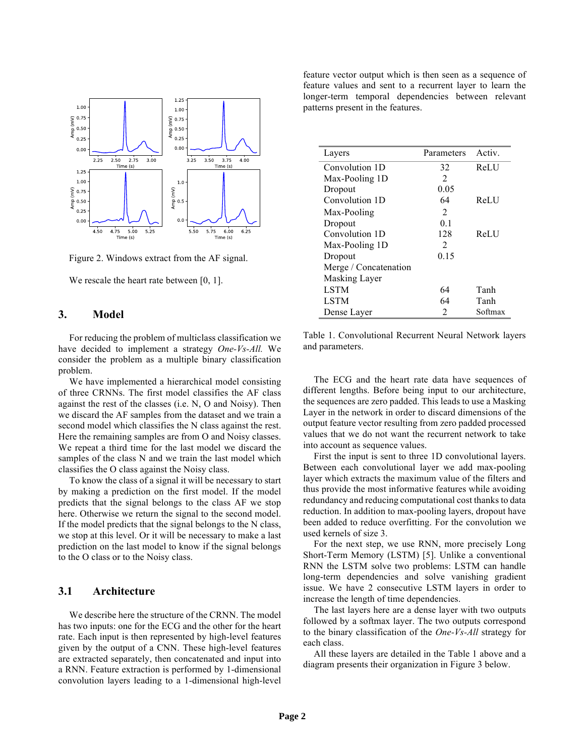

Figure 2. Windows extract from the AF signal.

We rescale the heart rate between [0, 1].

## **3. Model**

For reducing the problem of multiclass classification we have decided to implement a strategy *One-Vs-All.* We consider the problem as a multiple binary classification problem.

We have implemented a hierarchical model consisting of three CRNNs. The first model classifies the AF class against the rest of the classes (i.e. N, O and Noisy). Then we discard the AF samples from the dataset and we train a second model which classifies the N class against the rest. Here the remaining samples are from O and Noisy classes. We repeat a third time for the last model we discard the samples of the class N and we train the last model which classifies the O class against the Noisy class.

To know the class of a signal it will be necessary to start by making a prediction on the first model. If the model predicts that the signal belongs to the class AF we stop here. Otherwise we return the signal to the second model. If the model predicts that the signal belongs to the N class, we stop at this level. Or it will be necessary to make a last prediction on the last model to know if the signal belongs to the O class or to the Noisy class.

## **3.1 Architecture**

We describe here the structure of the CRNN. The model has two inputs: one for the ECG and the other for the heart rate. Each input is then represented by high-level features given by the output of a CNN. These high-level features are extracted separately, then concatenated and input into a RNN. Feature extraction is performed by 1-dimensional convolution layers leading to a 1-dimensional high-level feature vector output which is then seen as a sequence of feature values and sent to a recurrent layer to learn the longer-term temporal dependencies between relevant patterns present in the features.

| Layers                | Parameters     | Activ.      |
|-----------------------|----------------|-------------|
| Convolution 1D        | 32             | <b>ReLU</b> |
| Max-Pooling 1D        | $\mathfrak{D}$ |             |
| Dropout               | 0.05           |             |
| Convolution 1D        | 64             | ReLU        |
| Max-Pooling           | 2              |             |
| Dropout               | 01             |             |
| Convolution 1D        | 128            | ReLU        |
| Max-Pooling 1D        | $\mathfrak{D}$ |             |
| Dropout               | 0.15           |             |
| Merge / Concatenation |                |             |
| Masking Layer         |                |             |
| <b>LSTM</b>           | 64             | Tanh        |
| LSTM                  | 64             | Tanh        |
| Dense Layer           | 2              | Softmax     |

Table 1. Convolutional Recurrent Neural Network layers and parameters.

The ECG and the heart rate data have sequences of different lengths. Before being input to our architecture, the sequences are zero padded. This leads to use a Masking Layer in the network in order to discard dimensions of the output feature vector resulting from zero padded processed values that we do not want the recurrent network to take into account as sequence values.

First the input is sent to three 1D convolutional layers. Between each convolutional layer we add max-pooling layer which extracts the maximum value of the filters and thus provide the most informative features while avoiding redundancy and reducing computational cost thanks to data reduction. In addition to max-pooling layers, dropout have been added to reduce overfitting. For the convolution we used kernels of size 3.

For the next step, we use RNN, more precisely Long Short-Term Memory (LSTM) [5]. Unlike a conventional RNN the LSTM solve two problems: LSTM can handle long-term dependencies and solve vanishing gradient issue. We have 2 consecutive LSTM layers in order to increase the length of time dependencies.

The last layers here are a dense layer with two outputs followed by a softmax layer. The two outputs correspond to the binary classification of the *One-Vs-All* strategy for each class.

All these layers are detailed in the Table 1 above and a diagram presents their organization in Figure 3 below.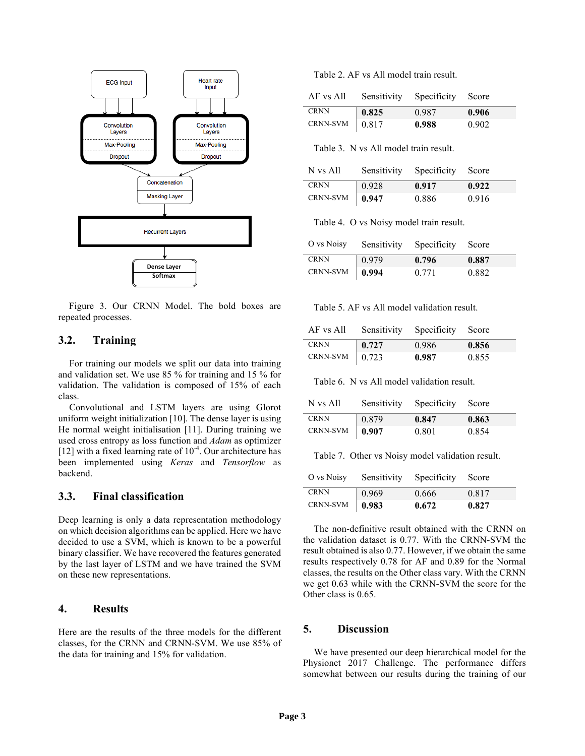

Figure 3. Our CRNN Model. The bold boxes are repeated processes.

## **3.2. Training**

For training our models we split our data into training and validation set. We use 85 % for training and 15 % for validation. The validation is composed of 15% of each class.

Convolutional and LSTM layers are using Glorot uniform weight initialization [10]. The dense layer is using He normal weight initialisation [11]. During training we used cross entropy as loss function and *Adam* as optimizer [12] with a fixed learning rate of  $10^{-4}$ . Our architecture has been implemented using *Keras* and *Tensorflow* as backend.

#### **3.3. Final classification**

Deep learning is only a data representation methodology on which decision algorithms can be applied. Here we have decided to use a SVM, which is known to be a powerful binary classifier. We have recovered the features generated by the last layer of LSTM and we have trained the SVM on these new representations.

# **4. Results**

Here are the results of the three models for the different classes, for the CRNN and CRNN-SVM. We use 85% of the data for training and 15% for validation.

Table 2. AF vs All model train result.

| AF vs All              | Sensitivity | Specificity Score |       |
|------------------------|-------------|-------------------|-------|
| <b>CRNN</b>            | 0.825       | 0.987             | 0.906 |
| CRNN-SVM $\vert$ 0.817 |             | 0.988             | 0.902 |

Table 3. N vs All model train result.

| N vs All               |       | Sensitivity Specificity Score |       |
|------------------------|-------|-------------------------------|-------|
| <b>CRNN</b>            | 0.928 | 0.917                         | 0.922 |
| CRNN-SVM $\vert$ 0.947 |       | 0.886                         | 0.916 |

Table 4. O vs Noisy model train result.

| O vs Noisy             |       | Sensitivity Specificity Score |       |
|------------------------|-------|-------------------------------|-------|
| <b>CRNN</b>            | 0.979 | 0.796                         | 0.887 |
| CRNN-SVM $\vert$ 0.994 |       | 0.771                         | 0.882 |

Table 5. AF vs All model validation result.

| AF vs All              |                     | Sensitivity Specificity Score |       |
|------------------------|---------------------|-------------------------------|-------|
| CRNN                   | $\vert 0.727 \vert$ | 0.986                         | 0.856 |
| CRNN-SVM $\vert$ 0.723 |                     | 0.987                         | 0.855 |

Table 6. N vs All model validation result.

| N vs All    | Sensitivity Specificity |       | Score |
|-------------|-------------------------|-------|-------|
| <b>CRNN</b> | 0.879                   | 0.847 | 0.863 |
| CRNN-SVM    | 0.907                   | 0.801 | 0.854 |

Table 7. Other vs Noisy model validation result.

| O vs Noisy             | Sensitivity Specificity |       | Score |
|------------------------|-------------------------|-------|-------|
| <b>CRNN</b>            | 0.969                   | 0.666 | 0.817 |
| CRNN-SVM $\vert$ 0.983 |                         | 0.672 | 0.827 |

The non-definitive result obtained with the CRNN on the validation dataset is 0.77. With the CRNN-SVM the result obtained is also 0.77. However, if we obtain the same results respectively 0.78 for AF and 0.89 for the Normal classes, the results on the Other class vary. With the CRNN we get 0.63 while with the CRNN-SVM the score for the Other class is 0.65.

## **5. Discussion**

We have presented our deep hierarchical model for the Physionet 2017 Challenge. The performance differs somewhat between our results during the training of our